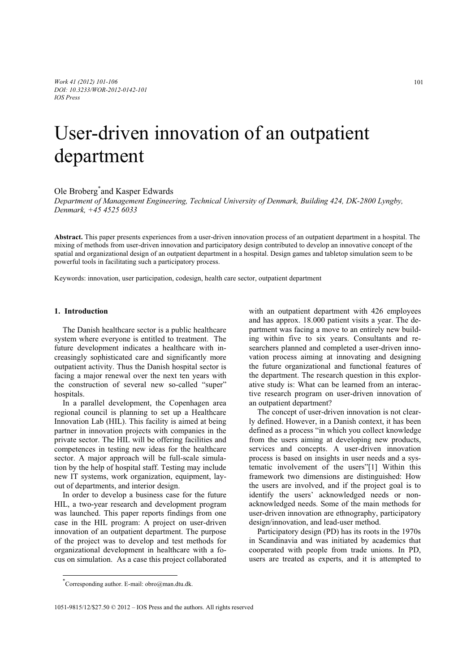# User-driven innovation of an outpatient department

Ole Broberg\* and Kasper Edwards

*Department of Management Engineering, Technical University of Denmark, Building 424, DK-2800 Lyngby, Denmark, +45 4525 6033* 

**Abstract.** This paper presents experiences from a user-driven innovation process of an outpatient department in a hospital. The mixing of methods from user-driven innovation and participatory design contributed to develop an innovative concept of the spatial and organizational design of an outpatient department in a hospital. Design games and tabletop simulation seem to be powerful tools in facilitating such a participatory process.

Keywords: innovation, user participation, codesign, health care sector, outpatient department

#### **1. Introduction**

The Danish healthcare sector is a public healthcare system where everyone is entitled to treatment. The future development indicates a healthcare with increasingly sophisticated care and significantly more outpatient activity. Thus the Danish hospital sector is facing a major renewal over the next ten years with the construction of several new so-called "super" hospitals.

In a parallel development, the Copenhagen area regional council is planning to set up a Healthcare Innovation Lab (HIL). This facility is aimed at being partner in innovation projects with companies in the private sector. The HIL will be offering facilities and competences in testing new ideas for the healthcare sector. A major approach will be full-scale simulation by the help of hospital staff. Testing may include new IT systems, work organization, equipment, layout of departments, and interior design.

In order to develop a business case for the future HIL, a two-year research and development program was launched. This paper reports findings from one case in the HIL program: A project on user-driven innovation of an outpatient department. The purpose of the project was to develop and test methods for organizational development in healthcare with a focus on simulation. As a case this project collaborated

with an outpatient department with 426 employees and has approx. 18.000 patient visits a year. The department was facing a move to an entirely new building within five to six years. Consultants and researchers planned and completed a user-driven innovation process aiming at innovating and designing the future organizational and functional features of the department. The research question in this explorative study is: What can be learned from an interactive research program on user-driven innovation of an outpatient department?

The concept of user-driven innovation is not clearly defined. However, in a Danish context, it has been defined as a process "in which you collect knowledge from the users aiming at developing new products, services and concepts. A user-driven innovation process is based on insights in user needs and a systematic involvement of the users"[1] Within this framework two dimensions are distinguished: How the users are involved, and if the project goal is to identify the users' acknowledged needs or nonacknowledged needs. Some of the main methods for user-driven innovation are ethnography, participatory design/innovation, and lead-user method.

Participatory design (PD) has its roots in the 1970s in Scandinavia and was initiated by academics that cooperated with people from trade unions. In PD, users are treated as experts, and it is attempted to

j

<sup>\*</sup> Corresponding author. E-mail: obro@man.dtu.dk.

<sup>1051-9815/12/\$27.50 © 2012 –</sup> IOS Press and the authors. All rights reserved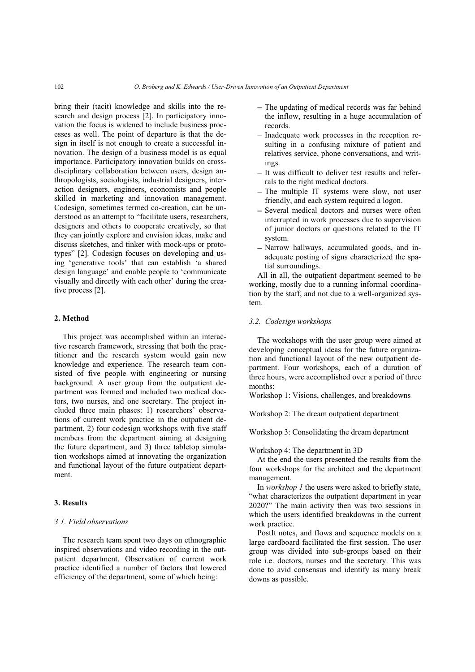bring their (tacit) knowledge and skills into the research and design process [2]. In participatory innovation the focus is widened to include business processes as well. The point of departure is that the design in itself is not enough to create a successful innovation. The design of a business model is as equal importance. Participatory innovation builds on crossdisciplinary collaboration between users, design anthropologists, sociologists, industrial designers, interaction designers, engineers, economists and people skilled in marketing and innovation management. Codesign, sometimes termed co-creation, can be understood as an attempt to "facilitate users, researchers, designers and others to cooperate creatively, so that they can jointly explore and envision ideas, make and discuss sketches, and tinker with mock-ups or prototypes" [2]. Codesign focuses on developing and using 'generative tools' that can establish 'a shared design language' and enable people to 'communicate visually and directly with each other' during the creative process [2].

## **2. Method**

This project was accomplished within an interactive research framework, stressing that both the practitioner and the research system would gain new knowledge and experience. The research team consisted of five people with engineering or nursing background. A user group from the outpatient department was formed and included two medical doctors, two nurses, and one secretary. The project included three main phases: 1) researchers' observations of current work practice in the outpatient department, 2) four codesign workshops with five staff members from the department aiming at designing the future department, and 3) three tabletop simulation workshops aimed at innovating the organization and functional layout of the future outpatient department.

#### **3. Results**

#### *3.1. Field observations*

The research team spent two days on ethnographic inspired observations and video recording in the outpatient department. Observation of current work practice identified a number of factors that lowered efficiency of the department, some of which being:

- The updating of medical records was far behind the inflow, resulting in a huge accumulation of records.
- Inadequate work processes in the reception resulting in a confusing mixture of patient and relatives service, phone conversations, and writings.
- It was difficult to deliver test results and referrals to the right medical doctors.
- The multiple IT systems were slow, not user friendly, and each system required a logon.
- Several medical doctors and nurses were often interrupted in work processes due to supervision of junior doctors or questions related to the IT system.
- Narrow hallways, accumulated goods, and inadequate posting of signs characterized the spatial surroundings.

All in all, the outpatient department seemed to be working, mostly due to a running informal coordination by the staff, and not due to a well-organized system.

#### *3.2. Codesign workshops*

The workshops with the user group were aimed at developing conceptual ideas for the future organization and functional layout of the new outpatient department. Four workshops, each of a duration of three hours, were accomplished over a period of three months:

Workshop 1: Visions, challenges, and breakdowns

Workshop 2: The dream outpatient department

Workshop 3: Consolidating the dream department

## Workshop 4: The department in 3D

At the end the users presented the results from the four workshops for the architect and the department management.

In *workshop 1* the users were asked to briefly state, "what characterizes the outpatient department in year 2020?" The main activity then was two sessions in which the users identified breakdowns in the current work practice.

PostIt notes, and flows and sequence models on a large cardboard facilitated the first session. The user group was divided into sub-groups based on their role i.e. doctors, nurses and the secretary. This was done to avid consensus and identify as many break downs as possible.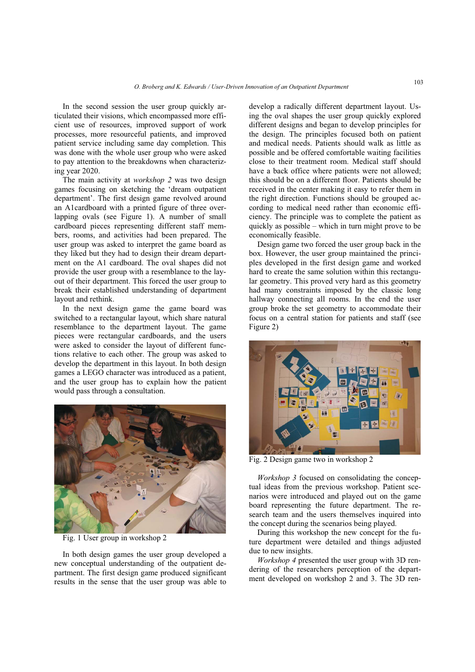In the second session the user group quickly articulated their visions, which encompassed more efficient use of resources, improved support of work processes, more resourceful patients, and improved patient service including same day completion. This was done with the whole user group who were asked to pay attention to the breakdowns when characterizing year 2020.

The main activity at *workshop 2* was two design games focusing on sketching the 'dream outpatient department'. The first design game revolved around an A1cardboard with a printed figure of three overlapping ovals (see Figure 1). A number of small cardboard pieces representing different staff members, rooms, and activities had been prepared. The user group was asked to interpret the game board as they liked but they had to design their dream department on the A1 cardboard. The oval shapes did not provide the user group with a resemblance to the layout of their department. This forced the user group to break their established understanding of department layout and rethink.

In the next design game the game board was switched to a rectangular layout, which share natural resemblance to the department layout. The game pieces were rectangular cardboards, and the users were asked to consider the layout of different functions relative to each other. The group was asked to develop the department in this layout. In both design games a LEGO character was introduced as a patient, and the user group has to explain how the patient would pass through a consultation.



Fig. 1 User group in workshop 2

In both design games the user group developed a new conceptual understanding of the outpatient department. The first design game produced significant results in the sense that the user group was able to

develop a radically different department layout. Using the oval shapes the user group quickly explored different designs and began to develop principles for the design. The principles focused both on patient and medical needs. Patients should walk as little as possible and be offered comfortable waiting facilities close to their treatment room. Medical staff should have a back office where patients were not allowed; this should be on a different floor. Patients should be received in the center making it easy to refer them in the right direction. Functions should be grouped according to medical need rather than economic efficiency. The principle was to complete the patient as quickly as possible – which in turn might prove to be economically feasible.

Design game two forced the user group back in the box. However, the user group maintained the principles developed in the first design game and worked hard to create the same solution within this rectangular geometry. This proved very hard as this geometry had many constraints imposed by the classic long hallway connecting all rooms. In the end the user group broke the set geometry to accommodate their focus on a central station for patients and staff (see Figure 2)



Fig. 2 Design game two in workshop 2

*Workshop 3* focused on consolidating the conceptual ideas from the previous workshop. Patient scenarios were introduced and played out on the game board representing the future department. The research team and the users themselves inquired into the concept during the scenarios being played.

During this workshop the new concept for the future department were detailed and things adjusted due to new insights.

*Workshop 4* presented the user group with 3D rendering of the researchers perception of the department developed on workshop 2 and 3. The 3D ren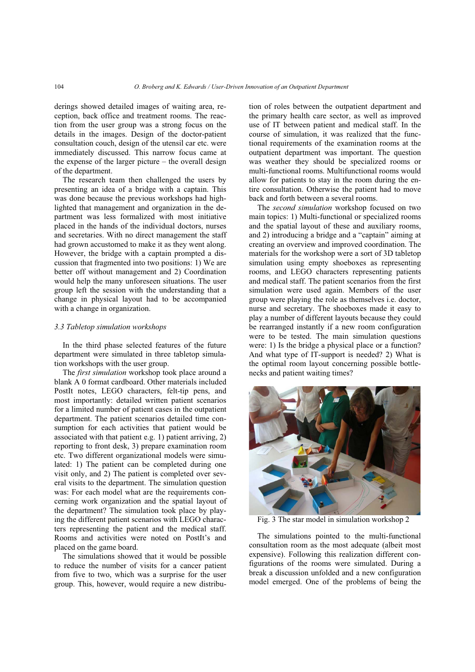derings showed detailed images of waiting area, reception, back office and treatment rooms. The reaction from the user group was a strong focus on the details in the images. Design of the doctor-patient consultation couch, design of the utensil car etc. were immediately discussed. This narrow focus came at the expense of the larger picture – the overall design of the department.

The research team then challenged the users by presenting an idea of a bridge with a captain. This was done because the previous workshops had highlighted that management and organization in the department was less formalized with most initiative placed in the hands of the individual doctors, nurses and secretaries. With no direct management the staff had grown accustomed to make it as they went along. However, the bridge with a captain prompted a discussion that fragmented into two positions: 1) We are better off without management and 2) Coordination would help the many unforeseen situations. The user group left the session with the understanding that a change in physical layout had to be accompanied with a change in organization.

## *3.3 Tabletop simulation workshops*

In the third phase selected features of the future department were simulated in three tabletop simulation workshops with the user group.

The *first simulation* workshop took place around a blank A 0 format cardboard. Other materials included PostIt notes, LEGO characters, felt-tip pens, and most importantly: detailed written patient scenarios for a limited number of patient cases in the outpatient department. The patient scenarios detailed time consumption for each activities that patient would be associated with that patient e.g. 1) patient arriving, 2) reporting to front desk, 3) prepare examination room etc. Two different organizational models were simulated: 1) The patient can be completed during one visit only, and 2) The patient is completed over several visits to the department. The simulation question was: For each model what are the requirements concerning work organization and the spatial layout of the department? The simulation took place by playing the different patient scenarios with LEGO characters representing the patient and the medical staff. Rooms and activities were noted on PostIt's and placed on the game board.

The simulations showed that it would be possible to reduce the number of visits for a cancer patient from five to two, which was a surprise for the user group. This, however, would require a new distribution of roles between the outpatient department and the primary health care sector, as well as improved use of IT between patient and medical staff. In the course of simulation, it was realized that the functional requirements of the examination rooms at the outpatient department was important. The question was weather they should be specialized rooms or multi-functional rooms. Multifunctional rooms would allow for patients to stay in the room during the entire consultation. Otherwise the patient had to move back and forth between a several rooms.

The *second simulation* workshop focused on two main topics: 1) Multi-functional or specialized rooms and the spatial layout of these and auxiliary rooms, and 2) introducing a bridge and a "captain" aiming at creating an overview and improved coordination. The materials for the workshop were a sort of 3D tabletop simulation using empty shoeboxes as representing rooms, and LEGO characters representing patients and medical staff. The patient scenarios from the first simulation were used again. Members of the user group were playing the role as themselves i.e. doctor, nurse and secretary. The shoeboxes made it easy to play a number of different layouts because they could be rearranged instantly if a new room configuration were to be tested. The main simulation questions were: 1) Is the bridge a physical place or a function? And what type of IT-support is needed? 2) What is the optimal room layout concerning possible bottlenecks and patient waiting times?



Fig. 3 The star model in simulation workshop 2

The simulations pointed to the multi-functional consultation room as the most adequate (albeit most expensive). Following this realization different configurations of the rooms were simulated. During a break a discussion unfolded and a new configuration model emerged. One of the problems of being the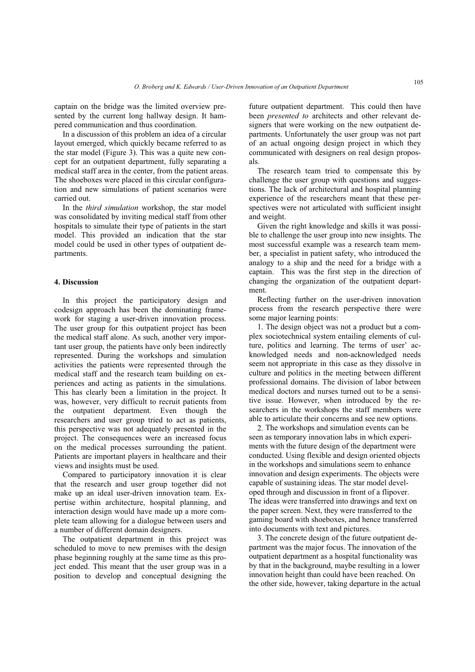captain on the bridge was the limited overview presented by the current long hallway design. It hampered communication and thus coordination.

In a discussion of this problem an idea of a circular layout emerged, which quickly became referred to as the star model (Figure 3). This was a quite new concept for an outpatient department, fully separating a medical staff area in the center, from the patient areas. The shoeboxes were placed in this circular configuration and new simulations of patient scenarios were carried out.

In the *third simulation* workshop, the star model was consolidated by inviting medical staff from other hospitals to simulate their type of patients in the start model. This provided an indication that the star model could be used in other types of outpatient departments.

#### **4. Discussion**

In this project the participatory design and codesign approach has been the dominating framework for staging a user-driven innovation process. The user group for this outpatient project has been the medical staff alone. As such, another very important user group, the patients have only been indirectly represented. During the workshops and simulation activities the patients were represented through the medical staff and the research team building on experiences and acting as patients in the simulations. This has clearly been a limitation in the project. It was, however, very difficult to recruit patients from the outpatient department. Even though the researchers and user group tried to act as patients, this perspective was not adequately presented in the project. The consequences were an increased focus on the medical processes surrounding the patient. Patients are important players in healthcare and their views and insights must be used.

Compared to participatory innovation it is clear that the research and user group together did not make up an ideal user-driven innovation team. Expertise within architecture, hospital planning, and interaction design would have made up a more complete team allowing for a dialogue between users and a number of different domain designers.

The outpatient department in this project was scheduled to move to new premises with the design phase beginning roughly at the same time as this project ended. This meant that the user group was in a position to develop and conceptual designing the

future outpatient department. This could then have been *presented to* architects and other relevant designers that were working on the new outpatient departments. Unfortunately the user group was not part of an actual ongoing design project in which they communicated with designers on real design proposals.

The research team tried to compensate this by challenge the user group with questions and suggestions. The lack of architectural and hospital planning experience of the researchers meant that these perspectives were not articulated with sufficient insight and weight.

Given the right knowledge and skills it was possible to challenge the user group into new insights. The most successful example was a research team member, a specialist in patient safety, who introduced the analogy to a ship and the need for a bridge with a captain. This was the first step in the direction of changing the organization of the outpatient department.

Reflecting further on the user-driven innovation process from the research perspective there were some major learning points:

1. The design object was not a product but a complex sociotechnical system entailing elements of culture, politics and learning. The terms of user' acknowledged needs and non-acknowledged needs seem not appropriate in this case as they dissolve in culture and politics in the meeting between different professional domains. The division of labor between medical doctors and nurses turned out to be a sensitive issue. However, when introduced by the researchers in the workshops the staff members were able to articulate their concerns and see new options.

2. The workshops and simulation events can be seen as temporary innovation labs in which experiments with the future design of the department were conducted. Using flexible and design oriented objects in the workshops and simulations seem to enhance innovation and design experiments. The objects were capable of sustaining ideas. The star model developed through and discussion in front of a flipover. The ideas were transferred into drawings and text on the paper screen. Next, they were transferred to the gaming board with shoeboxes, and hence transferred into documents with text and pictures.

3. The concrete design of the future outpatient department was the major focus. The innovation of the outpatient department as a hospital functionality was by that in the background, maybe resulting in a lower innovation height than could have been reached. On the other side, however, taking departure in the actual